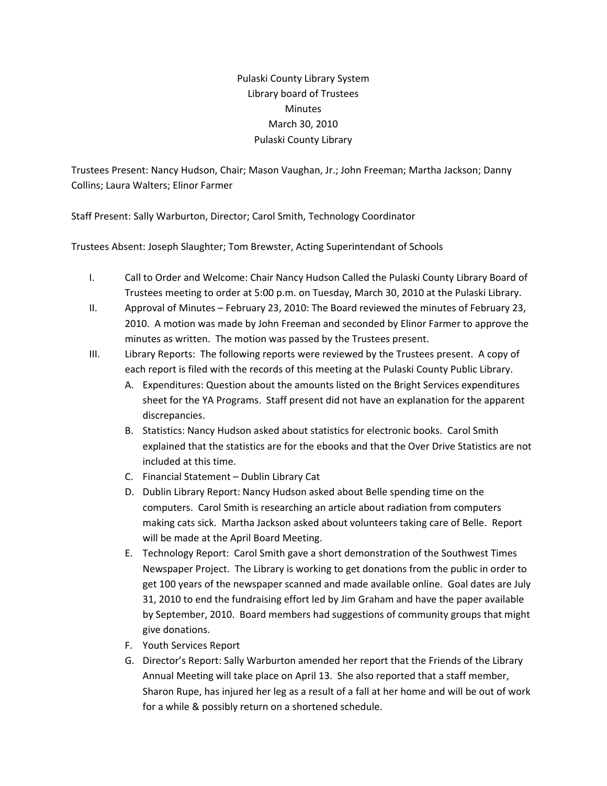## Pulaski County Library System Library board of Trustees Minutes March 30, 2010 Pulaski County Library

Trustees Present: Nancy Hudson, Chair; Mason Vaughan, Jr.; John Freeman; Martha Jackson; Danny Collins; Laura Walters; Elinor Farmer

Staff Present: Sally Warburton, Director; Carol Smith, Technology Coordinator

Trustees Absent: Joseph Slaughter; Tom Brewster, Acting Superintendant of Schools

- I. Call to Order and Welcome: Chair Nancy Hudson Called the Pulaski County Library Board of Trustees meeting to order at 5:00 p.m. on Tuesday, March 30, 2010 at the Pulaski Library.
- II. Approval of Minutes February 23, 2010: The Board reviewed the minutes of February 23, 2010. A motion was made by John Freeman and seconded by Elinor Farmer to approve the minutes as written. The motion was passed by the Trustees present.
- III. Library Reports: The following reports were reviewed by the Trustees present. A copy of each report is filed with the records of this meeting at the Pulaski County Public Library.
	- A. Expenditures: Question about the amounts listed on the Bright Services expenditures sheet for the YA Programs. Staff present did not have an explanation for the apparent discrepancies.
	- B. Statistics: Nancy Hudson asked about statistics for electronic books. Carol Smith explained that the statistics are for the ebooks and that the Over Drive Statistics are not included at this time.
	- C. Financial Statement Dublin Library Cat
	- D. Dublin Library Report: Nancy Hudson asked about Belle spending time on the computers. Carol Smith is researching an article about radiation from computers making cats sick. Martha Jackson asked about volunteers taking care of Belle. Report will be made at the April Board Meeting.
	- E. Technology Report: Carol Smith gave a short demonstration of the Southwest Times Newspaper Project. The Library is working to get donations from the public in order to get 100 years of the newspaper scanned and made available online. Goal dates are July 31, 2010 to end the fundraising effort led by Jim Graham and have the paper available by September, 2010. Board members had suggestions of community groups that might give donations.
	- F. Youth Services Report
	- G. Director's Report: Sally Warburton amended her report that the Friends of the Library Annual Meeting will take place on April 13. She also reported that a staff member, Sharon Rupe, has injured her leg as a result of a fall at her home and will be out of work for a while & possibly return on a shortened schedule.